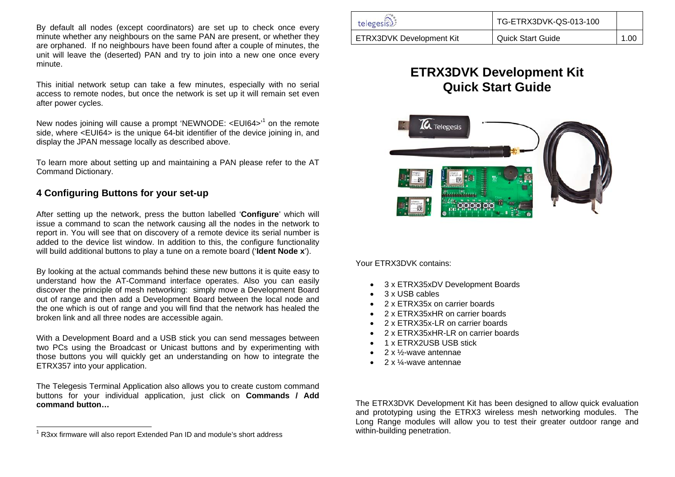By default all nodes (except coordinators) are set up to check once every minute whether any neighbours on the same PAN are present, or whether they are orphaned. If no neighbours have been found after a couple of minutes, the unit will leave the (deserted) PAN and try to join into a new one once every minute.

**Quick Start Guide** This initial network setup can take a few minutes, especially with no serial access to remote nodes, but once the network is set up it will remain set even after power cycles.

New nodes joining will cause a prompt 'NEWNODE: <EUI64><sup>1</sup> on the remote side, where <EUI64> is the unique 64-bit identifier of the device joining in, and display the JPAN message locally as described above.

To learn more about setting up and maintaining a PAN please refer to the AT Command Dictionary.

### **4 Configuring Buttons for your set-up**

After setting up the network, press the button labelled '**Configure**' which will issue a command to scan the network causing all the nodes in the network to report in. You will see that on discovery of a remote device its serial number is added to the device list window. In addition to this, the configure functionality will build additional buttons to play a tune on a remote board ('**Ident Node x**').

By looking at the actual commands behind these new buttons it is quite easy to understand how the AT-Command interface operates. Also you can easily discover the principle of mesh networking: simply move a Development Board out of range and then add a Development Board between the local node and the one which is out of range and you will find that the network has healed the broken link and all three nodes are accessible again.

2 x ETRX35xHR-LR on carrier boards<br>With a Development Board and a USB stick you can send messages between<br>A represented the stick of the stick of the stick of the stick of the stick of the stick of the stick of the stick two PCs using the Broadcast or Unicast buttons and by experimenting with those buttons you will quickly get an understanding on how to integrate the ETRX357 into your application.

The Telegesis Terminal Application also allows you to create custom command buttons for your individual application, just click on **Commands / Add command button…**

| telegesis)               | TG-ETRX3DVK-QS-013-100 |      |  |
|--------------------------|------------------------|------|--|
| ETRX3DVK Development Kit | Quick Start Guide      | 1.00 |  |

# **ETRX3DVK Development Kit**



Your ETRX3DVK contains:

- 3 x ETRX35xDV Development Boards
- •3 x USB cables
- •2 x ETRX35x on carrier boards
- •2 x ETRX35xHR on carrier boards
- •2 x ETRX35x-LR on carrier boards
- •
- •1 x ETRX2USB USB stick
- •2 x ½-wave antennae
- •2 x ¼-wave antennae

 The ETRX3DVK Development Kit has been designed to allow quick evaluation and prototyping using the ETRX3 wireless mesh networking modules. The Long Range modules will allow you to test their greater outdoor range and within-building penetration.

 $^1$  R3xx firmware will also report Extended Pan ID and module's short address which help within-building penetration.